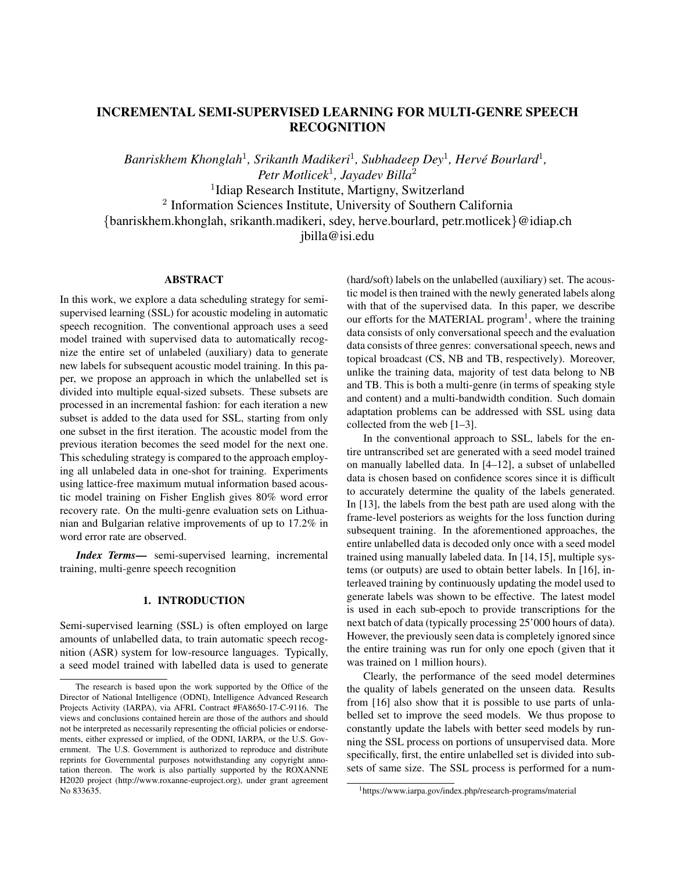# INCREMENTAL SEMI-SUPERVISED LEARNING FOR MULTI-GENRE SPEECH RECOGNITION

Banriskhem Khonglah<sup>1</sup>, Srikanth Madikeri<sup>1</sup>, Subhadeep Dey<sup>1</sup>, Hervé Bourlard<sup>1</sup>, *Petr Motlicek*<sup>1</sup> *, Jayadev Billa*<sup>2</sup> <sup>1</sup>Idiap Research Institute, Martigny, Switzerland 2 Information Sciences Institute, University of Southern California {banriskhem.khonglah, srikanth.madikeri, sdey, herve.bourlard, petr.motlicek}@idiap.ch jbilla@isi.edu

## **ABSTRACT**

In this work, we explore a data scheduling strategy for semisupervised learning (SSL) for acoustic modeling in automatic speech recognition. The conventional approach uses a seed model trained with supervised data to automatically recognize the entire set of unlabeled (auxiliary) data to generate new labels for subsequent acoustic model training. In this paper, we propose an approach in which the unlabelled set is divided into multiple equal-sized subsets. These subsets are processed in an incremental fashion: for each iteration a new subset is added to the data used for SSL, starting from only one subset in the first iteration. The acoustic model from the previous iteration becomes the seed model for the next one. This scheduling strategy is compared to the approach employing all unlabeled data in one-shot for training. Experiments using lattice-free maximum mutual information based acoustic model training on Fisher English gives 80% word error recovery rate. On the multi-genre evaluation sets on Lithuanian and Bulgarian relative improvements of up to 17.2% in word error rate are observed.

*Index Terms*— semi-supervised learning, incremental training, multi-genre speech recognition

## 1. INTRODUCTION

Semi-supervised learning (SSL) is often employed on large amounts of unlabelled data, to train automatic speech recognition (ASR) system for low-resource languages. Typically, a seed model trained with labelled data is used to generate (hard/soft) labels on the unlabelled (auxiliary) set. The acoustic model is then trained with the newly generated labels along with that of the supervised data. In this paper, we describe our efforts for the MATERIAL program<sup>1</sup>, where the training data consists of only conversational speech and the evaluation data consists of three genres: conversational speech, news and topical broadcast (CS, NB and TB, respectively). Moreover, unlike the training data, majority of test data belong to NB and TB. This is both a multi-genre (in terms of speaking style and content) and a multi-bandwidth condition. Such domain adaptation problems can be addressed with SSL using data collected from the web [1–3].

In the conventional approach to SSL, labels for the entire untranscribed set are generated with a seed model trained on manually labelled data. In [4–12], a subset of unlabelled data is chosen based on confidence scores since it is difficult to accurately determine the quality of the labels generated. In [13], the labels from the best path are used along with the frame-level posteriors as weights for the loss function during subsequent training. In the aforementioned approaches, the entire unlabelled data is decoded only once with a seed model trained using manually labeled data. In [14, 15], multiple systems (or outputs) are used to obtain better labels. In [16], interleaved training by continuously updating the model used to generate labels was shown to be effective. The latest model is used in each sub-epoch to provide transcriptions for the next batch of data (typically processing 25'000 hours of data). However, the previously seen data is completely ignored since the entire training was run for only one epoch (given that it was trained on 1 million hours).

Clearly, the performance of the seed model determines the quality of labels generated on the unseen data. Results from [16] also show that it is possible to use parts of unlabelled set to improve the seed models. We thus propose to constantly update the labels with better seed models by running the SSL process on portions of unsupervised data. More specifically, first, the entire unlabelled set is divided into subsets of same size. The SSL process is performed for a num-

The research is based upon the work supported by the Office of the Director of National Intelligence (ODNI), Intelligence Advanced Research Projects Activity (IARPA), via AFRL Contract #FA8650-17-C-9116. The views and conclusions contained herein are those of the authors and should not be interpreted as necessarily representing the official policies or endorsements, either expressed or implied, of the ODNI, IARPA, or the U.S. Government. The U.S. Government is authorized to reproduce and distribute reprints for Governmental purposes notwithstanding any copyright annotation thereon. The work is also partially supported by the ROXANNE H2020 project (http://www.roxanne-euproject.org), under grant agreement No 833635.

<sup>1</sup>https://www.iarpa.gov/index.php/research-programs/material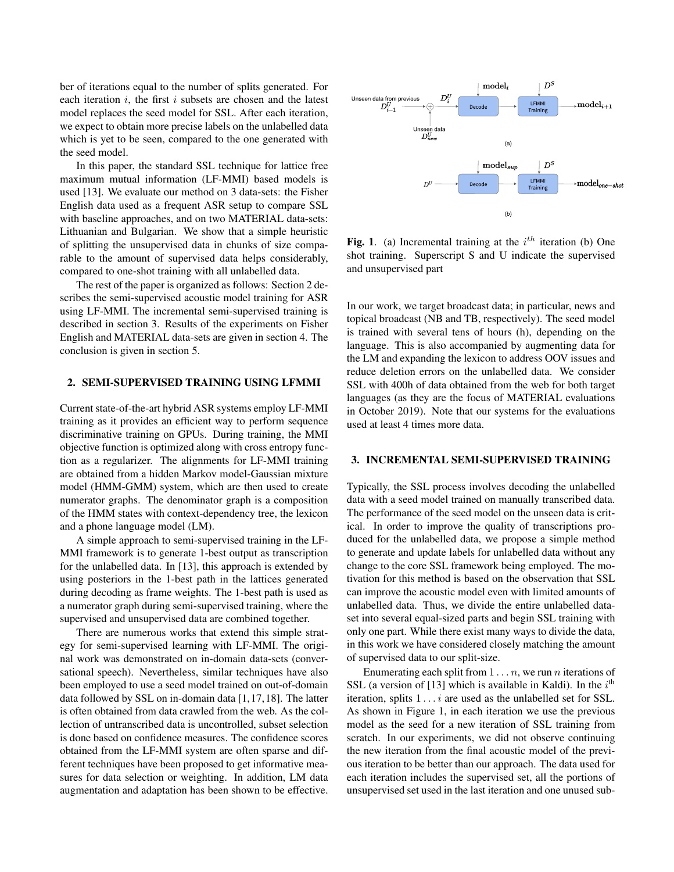ber of iterations equal to the number of splits generated. For each iteration  $i$ , the first  $i$  subsets are chosen and the latest model replaces the seed model for SSL. After each iteration, we expect to obtain more precise labels on the unlabelled data which is yet to be seen, compared to the one generated with the seed model.

In this paper, the standard SSL technique for lattice free maximum mutual information (LF-MMI) based models is used [13]. We evaluate our method on 3 data-sets: the Fisher English data used as a frequent ASR setup to compare SSL with baseline approaches, and on two MATERIAL data-sets: Lithuanian and Bulgarian. We show that a simple heuristic of splitting the unsupervised data in chunks of size comparable to the amount of supervised data helps considerably, compared to one-shot training with all unlabelled data.

The rest of the paper is organized as follows: Section 2 describes the semi-supervised acoustic model training for ASR using LF-MMI. The incremental semi-supervised training is described in section 3. Results of the experiments on Fisher English and MATERIAL data-sets are given in section 4. The conclusion is given in section 5.

#### 2. SEMI-SUPERVISED TRAINING USING LFMMI

Current state-of-the-art hybrid ASR systems employ LF-MMI training as it provides an efficient way to perform sequence discriminative training on GPUs. During training, the MMI objective function is optimized along with cross entropy function as a regularizer. The alignments for LF-MMI training are obtained from a hidden Markov model-Gaussian mixture model (HMM-GMM) system, which are then used to create numerator graphs. The denominator graph is a composition of the HMM states with context-dependency tree, the lexicon and a phone language model (LM).

A simple approach to semi-supervised training in the LF-MMI framework is to generate 1-best output as transcription for the unlabelled data. In [13], this approach is extended by using posteriors in the 1-best path in the lattices generated during decoding as frame weights. The 1-best path is used as a numerator graph during semi-supervised training, where the supervised and unsupervised data are combined together.

There are numerous works that extend this simple strategy for semi-supervised learning with LF-MMI. The original work was demonstrated on in-domain data-sets (conversational speech). Nevertheless, similar techniques have also been employed to use a seed model trained on out-of-domain data followed by SSL on in-domain data [1,17,18]. The latter is often obtained from data crawled from the web. As the collection of untranscribed data is uncontrolled, subset selection is done based on confidence measures. The confidence scores obtained from the LF-MMI system are often sparse and different techniques have been proposed to get informative measures for data selection or weighting. In addition, LM data augmentation and adaptation has been shown to be effective.



Fig. 1. (a) Incremental training at the  $i<sup>th</sup>$  iteration (b) One shot training. Superscript S and U indicate the supervised and unsupervised part

In our work, we target broadcast data; in particular, news and topical broadcast (NB and TB, respectively). The seed model is trained with several tens of hours (h), depending on the language. This is also accompanied by augmenting data for the LM and expanding the lexicon to address OOV issues and reduce deletion errors on the unlabelled data. We consider SSL with 400h of data obtained from the web for both target languages (as they are the focus of MATERIAL evaluations in October 2019). Note that our systems for the evaluations used at least 4 times more data.

## 3. INCREMENTAL SEMI-SUPERVISED TRAINING

Typically, the SSL process involves decoding the unlabelled data with a seed model trained on manually transcribed data. The performance of the seed model on the unseen data is critical. In order to improve the quality of transcriptions produced for the unlabelled data, we propose a simple method to generate and update labels for unlabelled data without any change to the core SSL framework being employed. The motivation for this method is based on the observation that SSL can improve the acoustic model even with limited amounts of unlabelled data. Thus, we divide the entire unlabelled dataset into several equal-sized parts and begin SSL training with only one part. While there exist many ways to divide the data, in this work we have considered closely matching the amount of supervised data to our split-size.

Enumerating each split from  $1 \dots n$ , we run *n* iterations of SSL (a version of [13] which is available in Kaldi). In the  $i<sup>th</sup>$ iteration, splits  $1 \ldots i$  are used as the unlabelled set for SSL. As shown in Figure 1, in each iteration we use the previous model as the seed for a new iteration of SSL training from scratch. In our experiments, we did not observe continuing the new iteration from the final acoustic model of the previous iteration to be better than our approach. The data used for each iteration includes the supervised set, all the portions of unsupervised set used in the last iteration and one unused sub-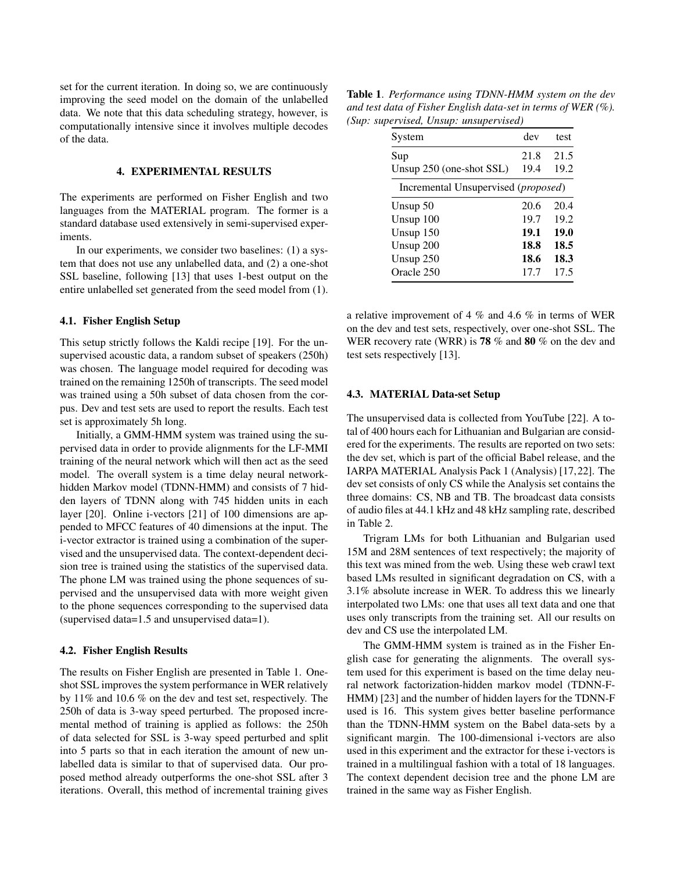set for the current iteration. In doing so, we are continuously improving the seed model on the domain of the unlabelled data. We note that this data scheduling strategy, however, is computationally intensive since it involves multiple decodes of the data.

## 4. EXPERIMENTAL RESULTS

The experiments are performed on Fisher English and two languages from the MATERIAL program. The former is a standard database used extensively in semi-supervised experiments.

In our experiments, we consider two baselines: (1) a system that does not use any unlabelled data, and (2) a one-shot SSL baseline, following [13] that uses 1-best output on the entire unlabelled set generated from the seed model from (1).

### 4.1. Fisher English Setup

This setup strictly follows the Kaldi recipe [19]. For the unsupervised acoustic data, a random subset of speakers (250h) was chosen. The language model required for decoding was trained on the remaining 1250h of transcripts. The seed model was trained using a 50h subset of data chosen from the corpus. Dev and test sets are used to report the results. Each test set is approximately 5h long.

Initially, a GMM-HMM system was trained using the supervised data in order to provide alignments for the LF-MMI training of the neural network which will then act as the seed model. The overall system is a time delay neural networkhidden Markov model (TDNN-HMM) and consists of 7 hidden layers of TDNN along with 745 hidden units in each layer [20]. Online i-vectors [21] of 100 dimensions are appended to MFCC features of 40 dimensions at the input. The i-vector extractor is trained using a combination of the supervised and the unsupervised data. The context-dependent decision tree is trained using the statistics of the supervised data. The phone LM was trained using the phone sequences of supervised and the unsupervised data with more weight given to the phone sequences corresponding to the supervised data (supervised data=1.5 and unsupervised data=1).

#### 4.2. Fisher English Results

The results on Fisher English are presented in Table 1. Oneshot SSL improves the system performance in WER relatively by 11% and 10.6 % on the dev and test set, respectively. The 250h of data is 3-way speed perturbed. The proposed incremental method of training is applied as follows: the 250h of data selected for SSL is 3-way speed perturbed and split into 5 parts so that in each iteration the amount of new unlabelled data is similar to that of supervised data. Our proposed method already outperforms the one-shot SSL after 3 iterations. Overall, this method of incremental training gives

Table 1. *Performance using TDNN-HMM system on the dev and test data of Fisher English data-set in terms of WER (%). (Sup: supervised, Unsup: unsupervised)*

| System                              | dev  | test |  |  |  |
|-------------------------------------|------|------|--|--|--|
| Sup                                 | 21.8 | 21.5 |  |  |  |
| Unsup 250 (one-shot SSL)            | 19.4 | 19.2 |  |  |  |
| Incremental Unsupervised (proposed) |      |      |  |  |  |
| Unsup $50$                          | 20.6 | 20.4 |  |  |  |
| Unsup $100$                         | 19.7 | 19.2 |  |  |  |
| Unsup 150                           | 19.1 | 19.0 |  |  |  |
| Unsup 200                           | 18.8 | 18.5 |  |  |  |
| Unsup 250                           | 18.6 | 18.3 |  |  |  |
| Oracle 250                          | 17.7 | 17.5 |  |  |  |

a relative improvement of 4 % and 4.6 % in terms of WER on the dev and test sets, respectively, over one-shot SSL. The WER recovery rate (WRR) is **78** % and **80** % on the dev and test sets respectively [13].

#### 4.3. MATERIAL Data-set Setup

The unsupervised data is collected from YouTube [22]. A total of 400 hours each for Lithuanian and Bulgarian are considered for the experiments. The results are reported on two sets: the dev set, which is part of the official Babel release, and the IARPA MATERIAL Analysis Pack 1 (Analysis) [17,22]. The dev set consists of only CS while the Analysis set contains the three domains: CS, NB and TB. The broadcast data consists of audio files at 44.1 kHz and 48 kHz sampling rate, described in Table 2.

Trigram LMs for both Lithuanian and Bulgarian used 15M and 28M sentences of text respectively; the majority of this text was mined from the web. Using these web crawl text based LMs resulted in significant degradation on CS, with a 3.1% absolute increase in WER. To address this we linearly interpolated two LMs: one that uses all text data and one that uses only transcripts from the training set. All our results on dev and CS use the interpolated LM.

The GMM-HMM system is trained as in the Fisher English case for generating the alignments. The overall system used for this experiment is based on the time delay neural network factorization-hidden markov model (TDNN-F-HMM) [23] and the number of hidden layers for the TDNN-F used is 16. This system gives better baseline performance than the TDNN-HMM system on the Babel data-sets by a significant margin. The 100-dimensional i-vectors are also used in this experiment and the extractor for these i-vectors is trained in a multilingual fashion with a total of 18 languages. The context dependent decision tree and the phone LM are trained in the same way as Fisher English.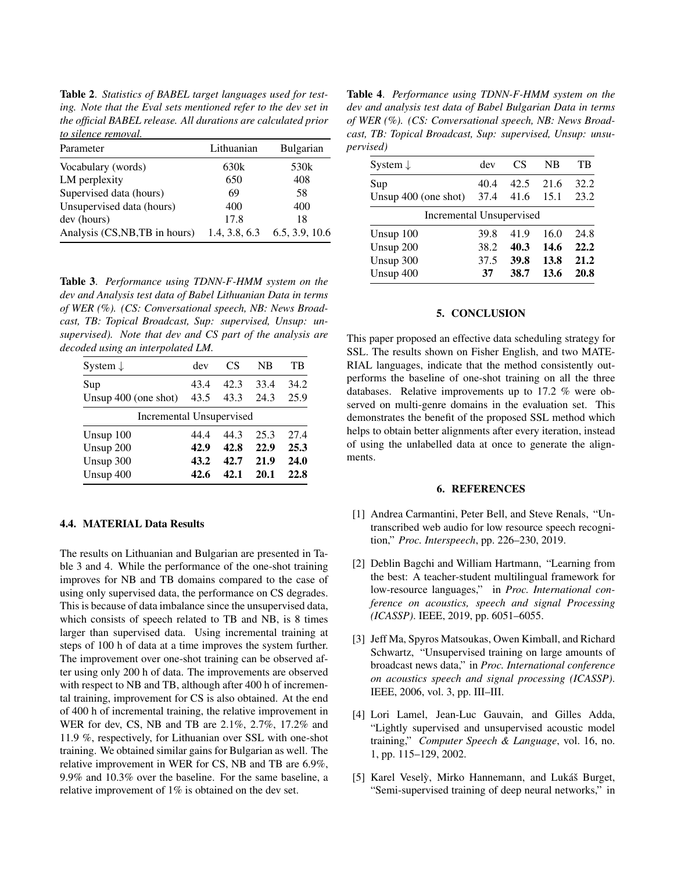Table 2. *Statistics of BABEL target languages used for testing. Note that the Eval sets mentioned refer to the dev set in the official BABEL release. All durations are calculated prior to silence removal.*

| Parameter                      | Lithuanian    | Bulgarian      |
|--------------------------------|---------------|----------------|
| Vocabulary (words)             | 630k          | 530k           |
| LM perplexity                  | 650           | 408            |
| Supervised data (hours)        | 69            | 58             |
| Unsupervised data (hours)      | 400           | 400            |
| dev (hours)                    | 17.8          | 18             |
| Analysis (CS, NB, TB in hours) | 1.4, 3.8, 6.3 | 6.5, 3.9, 10.6 |

Table 3. *Performance using TDNN-F-HMM system on the dev and Analysis test data of Babel Lithuanian Data in terms of WER (%). (CS: Conversational speech, NB: News Broadcast, TB: Topical Broadcast, Sup: supervised, Unsup: unsupervised). Note that dev and CS part of the analysis are decoded using an interpolated LM.*

| System $\downarrow$             | dev  | CS   | NB   | TB   |  |  |
|---------------------------------|------|------|------|------|--|--|
| Sup                             | 43.4 | 42.3 | 33.4 | 34.2 |  |  |
| Unsup $400$ (one shot)          | 43.5 | 43.3 | 24.3 | 25.9 |  |  |
| <b>Incremental Unsupervised</b> |      |      |      |      |  |  |
| Unsup $100$                     | 44.4 | 44.3 | 25.3 | 27.4 |  |  |
| Unsup 200                       | 42.9 | 42.8 | 22.9 | 25.3 |  |  |
| Unsup 300                       | 43.2 | 42.7 | 21.9 | 24.0 |  |  |
| Unsup 400                       | 42.6 | 42.1 | 20.1 | 22.8 |  |  |

## 4.4. MATERIAL Data Results

The results on Lithuanian and Bulgarian are presented in Table 3 and 4. While the performance of the one-shot training improves for NB and TB domains compared to the case of using only supervised data, the performance on CS degrades. This is because of data imbalance since the unsupervised data, which consists of speech related to TB and NB, is 8 times larger than supervised data. Using incremental training at steps of 100 h of data at a time improves the system further. The improvement over one-shot training can be observed after using only 200 h of data. The improvements are observed with respect to NB and TB, although after 400 h of incremental training, improvement for CS is also obtained. At the end of 400 h of incremental training, the relative improvement in WER for dev, CS, NB and TB are 2.1%, 2.7%, 17.2% and 11.9 %, respectively, for Lithuanian over SSL with one-shot training. We obtained similar gains for Bulgarian as well. The relative improvement in WER for CS, NB and TB are 6.9%, 9.9% and 10.3% over the baseline. For the same baseline, a relative improvement of 1% is obtained on the dev set.

Table 4. *Performance using TDNN-F-HMM system on the dev and analysis test data of Babel Bulgarian Data in terms of WER (%). (CS: Conversational speech, NB: News Broadcast, TB: Topical Broadcast, Sup: supervised, Unsup: unsupervised)*

| System $\downarrow$      | dev  | CS   | NB   | TB   |
|--------------------------|------|------|------|------|
| Sup                      | 40.4 | 42.5 | 21.6 | 32.2 |
| Unsup 400 (one shot)     | 37.4 | 41.6 | 15.1 | 23.2 |
| Incremental Unsupervised |      |      |      |      |
| Unsup $100$              | 39.8 | 41.9 | 16.0 | 24.8 |
| Unsup 200                | 38.2 | 40.3 | 14.6 | 22.2 |
| Unsup 300                | 37.5 | 39.8 | 13.8 | 21.2 |
| Unsup 400                | 37   | 38.7 | 13.6 | 20.8 |
|                          |      |      |      |      |

#### 5. CONCLUSION

This paper proposed an effective data scheduling strategy for SSL. The results shown on Fisher English, and two MATE-RIAL languages, indicate that the method consistently outperforms the baseline of one-shot training on all the three databases. Relative improvements up to 17.2 % were observed on multi-genre domains in the evaluation set. This demonstrates the benefit of the proposed SSL method which helps to obtain better alignments after every iteration, instead of using the unlabelled data at once to generate the alignments.

## 6. REFERENCES

- [1] Andrea Carmantini, Peter Bell, and Steve Renals, "Untranscribed web audio for low resource speech recognition," *Proc. Interspeech*, pp. 226–230, 2019.
- [2] Deblin Bagchi and William Hartmann, "Learning from the best: A teacher-student multilingual framework for low-resource languages," in *Proc. International conference on acoustics, speech and signal Processing (ICASSP)*. IEEE, 2019, pp. 6051–6055.
- [3] Jeff Ma, Spyros Matsoukas, Owen Kimball, and Richard Schwartz, "Unsupervised training on large amounts of broadcast news data," in *Proc. International conference on acoustics speech and signal processing (ICASSP)*. IEEE, 2006, vol. 3, pp. III–III.
- [4] Lori Lamel, Jean-Luc Gauvain, and Gilles Adda, "Lightly supervised and unsupervised acoustic model training," *Computer Speech & Language*, vol. 16, no. 1, pp. 115–129, 2002.
- [5] Karel Veselỳ, Mirko Hannemann, and Lukáš Burget, "Semi-supervised training of deep neural networks," in